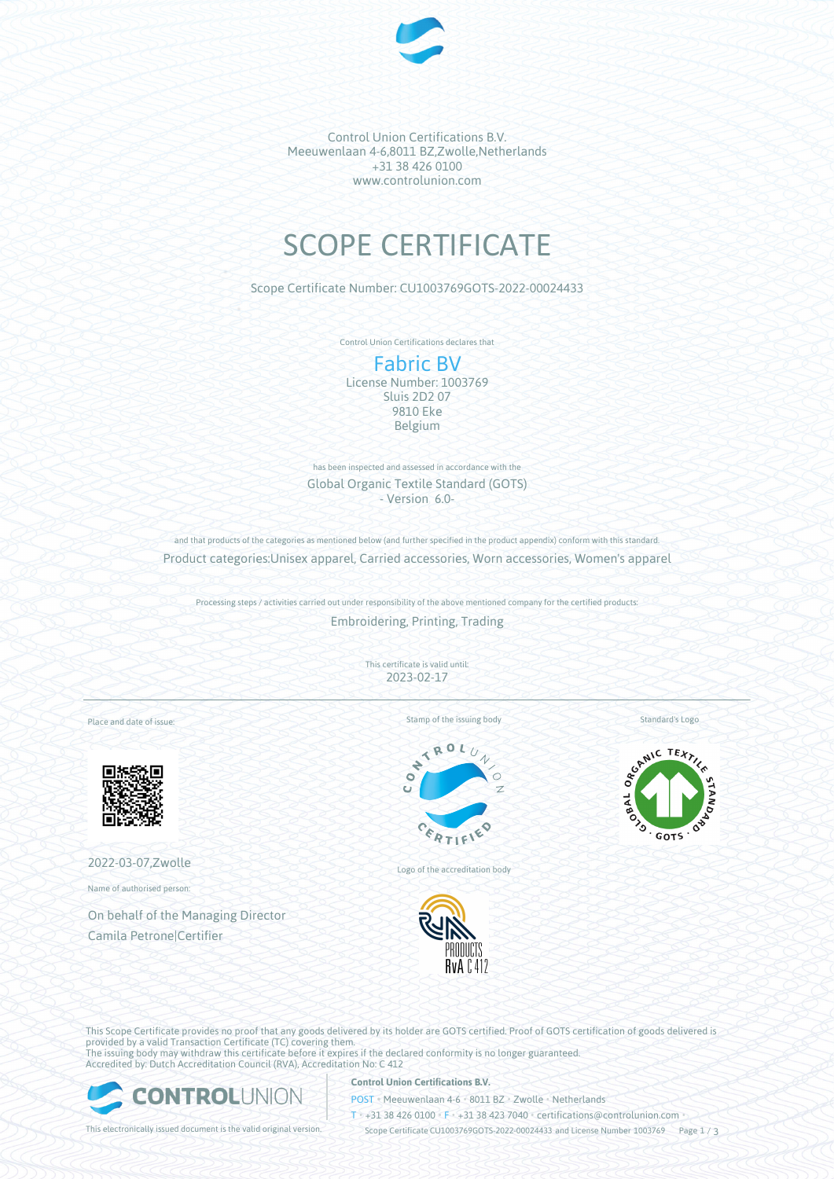

Control Union Certifications B.V. Meeuwenlaan 4-6,8011 BZ,Zwolle,Netherlands +31 38 426 0100 www.controlunion.com

# SCOPE CERTIFICATE

Scope Certificate Number: CU1003769GOTS-2022-00024433

Control Union Certifications declares that

# Fabric BV

License Number: 1003769 Sluis 2D2 07 9810 Eke Belgium

has been inspected and assessed in accordance with the Global Organic Textile Standard (GOTS) - Version 6.0-

and that products of the categories as mentioned below (and further specified in the product appendix) conform with this standard. Product categories:Unisex apparel, Carried accessories, Worn accessories, Women's apparel

Processing steps / activities carried out under responsibility of the above mentioned company for the certified products: Embroidering, Printing, Trading

> This certificate is valid until: 2023-02-17

Place and date of issue:



2022-03-07,Zwolle

Name of authorised person:

On behalf of the Managing Director Camila Petrone|Certifier

Stamp of the issuing body



Logo of the accreditation body



Standard's Logo



This Scope Certificate provides no proof that any goods delivered by its holder are GOTS certified. Proof of GOTS certification of goods delivered is provided by a valid Transaction Certificate (TC) covering them. The issuing body may withdraw this certificate before it expires if the declared conformity is no longer guaranteed. Accredited by: Dutch Accreditation Council (RVA), Accreditation No: C 412



## **Control Union Certifications B.V.**

POST • Meeuwenlaan 4-6 • 8011 BZ • Zwolle • Netherlands

T • +31 38 426 0100 • F • +31 38 423 7040 • certifications@controlunion.com •

This electronically issued document is the valid original version. Scope Certificate CU1003769GOTS-2022-00024433 and License Number 1003769 Page 1 / 3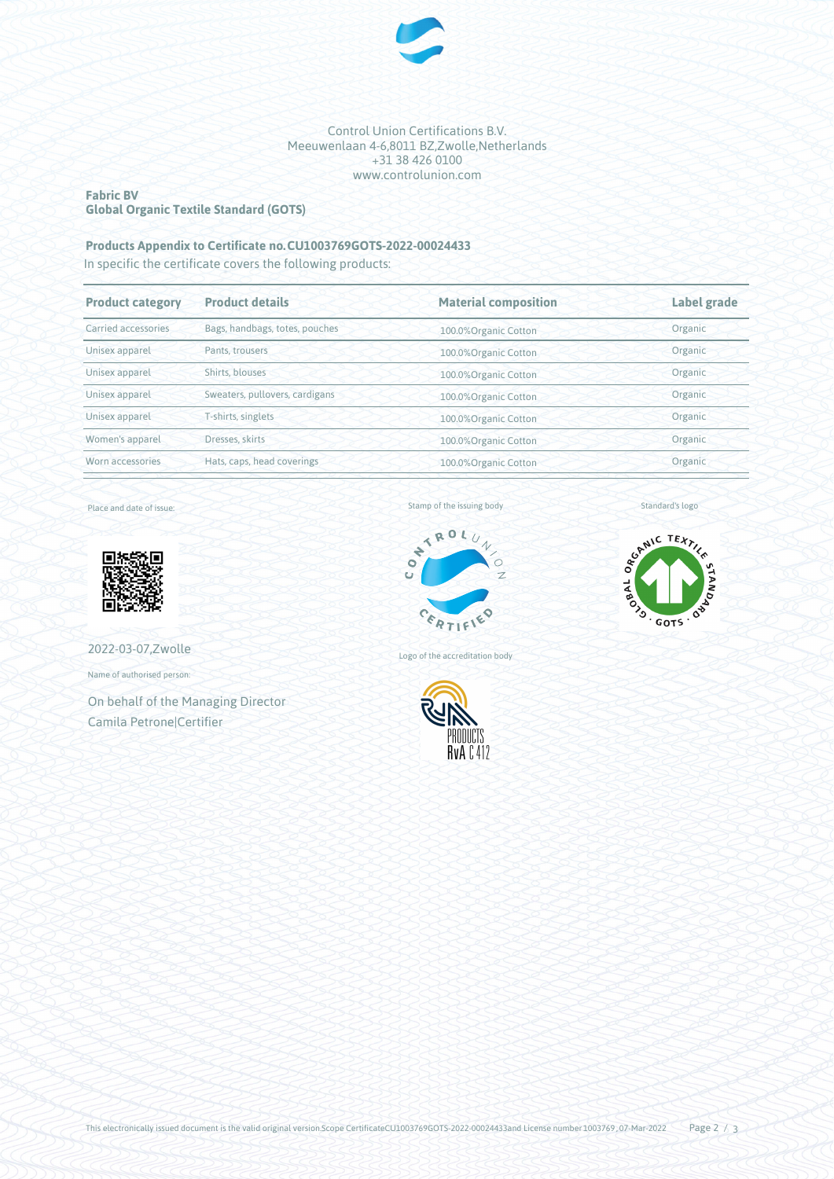

Control Union Certifications B.V. Meeuwenlaan 4-6,8011 BZ,Zwolle,Netherlands +31 38 426 0100 www.controlunion.com

#### **Fabric BV Global Organic Textile Standard (GOTS)**

# **Products Appendix to Certificate no.CU1003769GOTS-2022-00024433**

In specific the certificate covers the following products:

| <b>Product details</b>         | <b>Material composition</b> | Label grade |  |
|--------------------------------|-----------------------------|-------------|--|
| Bags, handbags, totes, pouches | 100.0%Organic Cotton        | Organic     |  |
| Pants, trousers                | 100.0%Organic Cotton        | Organic     |  |
| Shirts, blouses                | 100.0%Organic Cotton        | Organic     |  |
| Sweaters, pullovers, cardigans | 100.0% Organic Cotton       | Organic     |  |
| T-shirts, singlets             | 100.0%Organic Cotton        | Organic     |  |
| Dresses, skirts                | 100.0%Organic Cotton        | Organic     |  |
| Hats, caps, head coverings     | 100.0%Organic Cotton        | Organic     |  |
|                                |                             |             |  |

Place and date of issue:



2022-03-07,Zwolle

Name of authorised person:

On behalf of the Managing Director Camila Petrone|Certifier

Stamp of the issuing body







Standard's logo



This electronically issued document is the valid original version.Scope CertificateCU1003769GOTS-2022-00024433and License number 1003769, 07-Mar-2022 Page  $2 / 3$